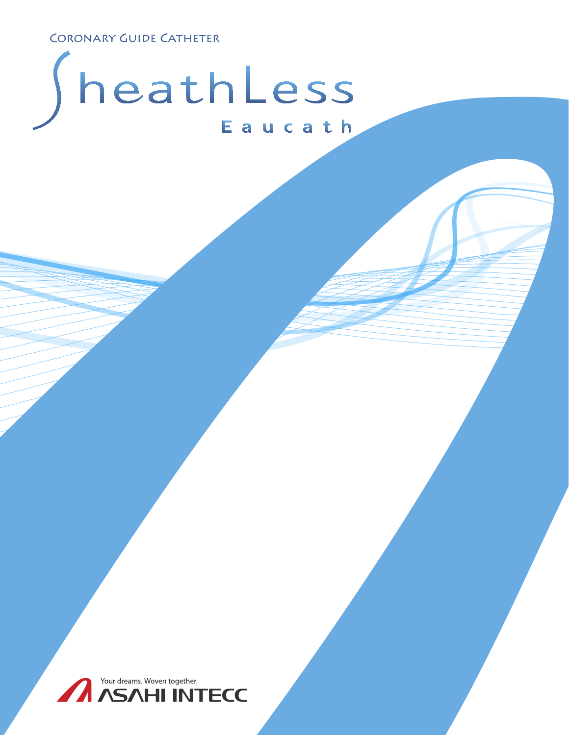**CORONARY GUIDE CATHETER** 

# heathLess Eaucath

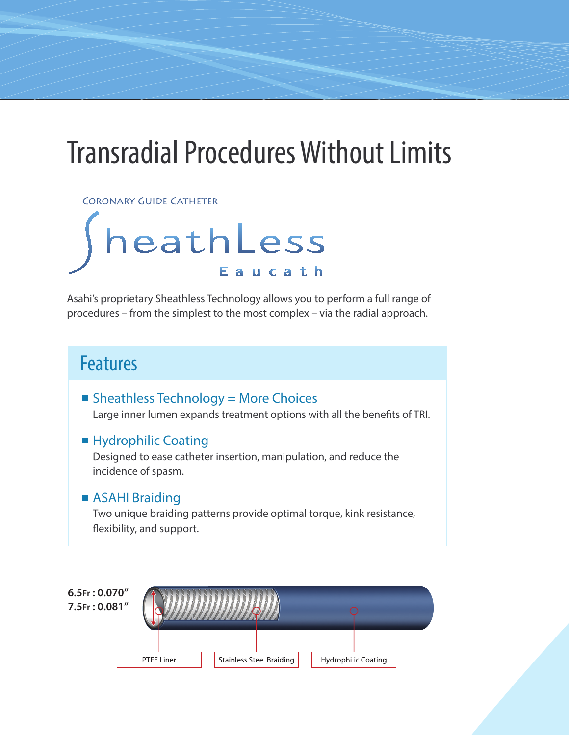## Transradial Procedures Without Limits

**CORONARY GUIDE CATHETER** 

## heathLess Eaucath

Asahi's proprietary Sheathless Technology allows you to perform a full range of procedures – from the simplest to the most complex – via the radial approach.

### Features

 $\blacksquare$  Sheathless Technology = More Choices Large inner lumen expands treatment options with all the benefits of TRI.

#### ■ Hydrophilic Coating

Designed to ease catheter insertion, manipulation, and reduce the incidence of spasm.

#### ■ ASAHI Braiding

Two unique braiding patterns provide optimal torque, kink resistance, flexibility, and support.

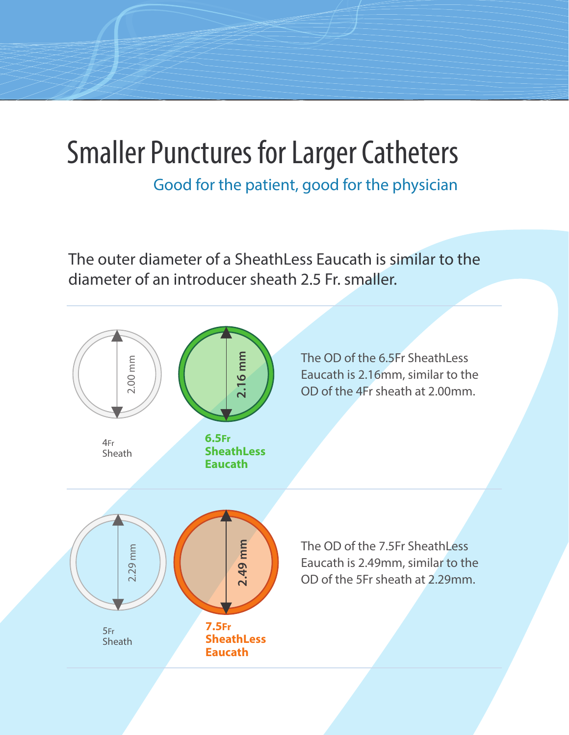## Smaller Punctures for Larger Catheters

Good for the patient, good for the physician

The outer diameter of a SheathLess Eaucath is similar to the diameter of an introducer sheath 2.5 Fr. smaller.